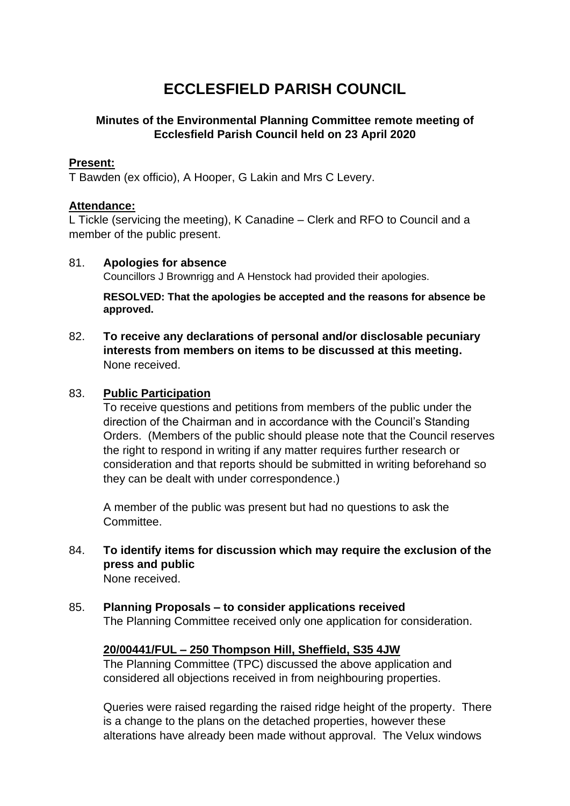# **ECCLESFIELD PARISH COUNCIL**

# **Minutes of the Environmental Planning Committee remote meeting of Ecclesfield Parish Council held on 23 April 2020**

## **Present:**

T Bawden (ex officio), A Hooper, G Lakin and Mrs C Levery.

## **Attendance:**

L Tickle (servicing the meeting), K Canadine – Clerk and RFO to Council and a member of the public present.

#### 81. **Apologies for absence**

Councillors J Brownrigg and A Henstock had provided their apologies.

**RESOLVED: That the apologies be accepted and the reasons for absence be approved.**

82. **To receive any declarations of personal and/or disclosable pecuniary interests from members on items to be discussed at this meeting.** None received.

## 83. **Public Participation**

To receive questions and petitions from members of the public under the direction of the Chairman and in accordance with the Council's Standing Orders. (Members of the public should please note that the Council reserves the right to respond in writing if any matter requires further research or consideration and that reports should be submitted in writing beforehand so they can be dealt with under correspondence.)

A member of the public was present but had no questions to ask the Committee.

- 84. **To identify items for discussion which may require the exclusion of the press and public** None received.
- 85. **Planning Proposals – to consider applications received** The Planning Committee received only one application for consideration.

# **20/00441/FUL – 250 Thompson Hill, Sheffield, S35 4JW**

The Planning Committee (TPC) discussed the above application and considered all objections received in from neighbouring properties.

Queries were raised regarding the raised ridge height of the property. There is a change to the plans on the detached properties, however these alterations have already been made without approval. The Velux windows